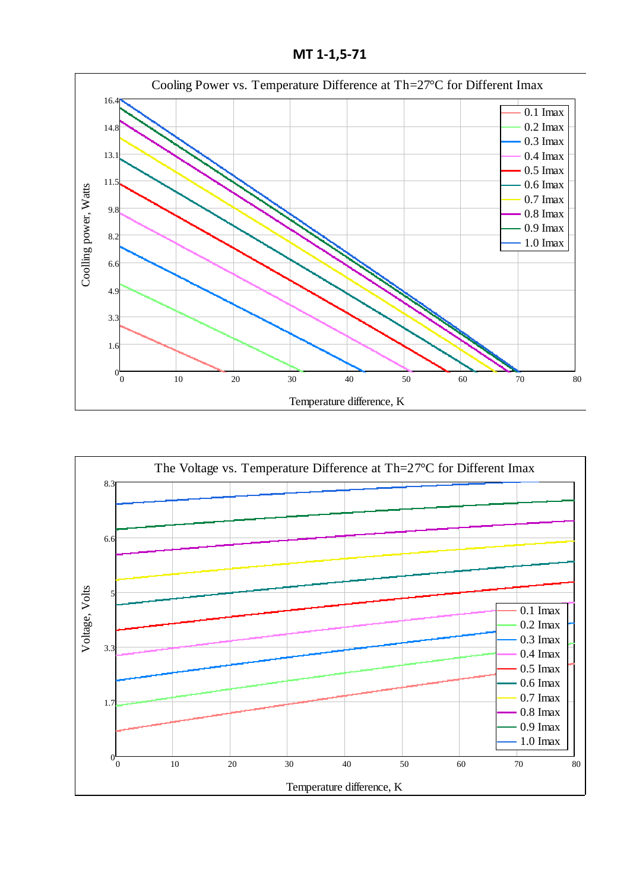**МТ 1-1,5-71**